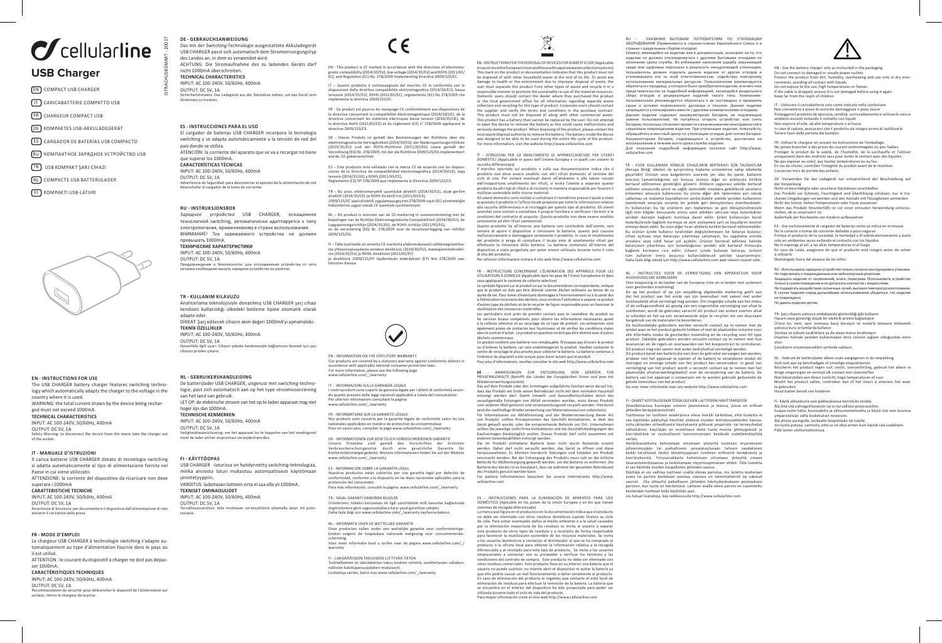# $\sigma$  cellularline

- EN COMPACT USB CHARGER
- $(T)$  CARICABATTERIE COMPATTO USB
- FR CHARGEUR COMPACT USB
- DE KOMPAKTES USB-AKKULADEGERÄT
- ES CARGADOR DE BATERÍAS USB COMPACTO
- RU КОМПАКТНОЕ ЗАРЯДНОЕ УСТРОЙСТВО USB
- TR USB KOMPAKT ŞARJ CİHAZI
- NL COMPACTE USB BATTERIJLADER
- 
- **FIL KOMPAKTI USB-LATURI**



### **EN - INSTRUCTIONS FOR USE**

The USB CHARGER battery charger features switching technology which automatically adapts the charger to the voltage in the country where it is used. WARNING: the total current drawn by the device being recharged must not exceed 1000mA. **TECHNICAL CHARACTERISTICS** INPUT: AC 100-240V, 50/60Hz, 400mA OUTPUT: DC 5V, 1A Safety Warning: to disconnect the device from the mains take the charger out of the socket.

### **IT - MANUALE D'ISTRUZIONI**

Il carica batterie USB CHARGER dotato di tecnologia switching si adatta automaticamente al tipo di alimentazione fornita nel Paese in cui viene utilizzato. ATTENZIONE: la corrente del dispositivo da ricaricare non deve

### superare i 1000mA

**CARATTERISTICHE TECNICHE** INPUT: AC 100-240V, 50/60Hz, 400mA OUTPUT: DC 5V, 1A

Avvertenza di Sicurezza: per disconnettere il dispositivo dall'alimentazione di rete estrarre il caricatore dalla presa.

### **FR - MODE D'EMPLOI**

Le chargeur USB CHARGER à technologie switching s'adapte automatiquement au type d'alimentation fournie dans le pays où il est utilisé. ATTENTION : le courant du dispositif à charger ne doit pas dépas-

### ser 1000mA.

**CARACTÉRISTIQUES TECHNIQUES** INPUT: AC 100-240V, 50/60Hz, 400mA

OUTPUT: DC 5V, 1A Recommandation de sécurité: pour débrancher le dispositif de l'alimentation sur secteur, retirer le chargeur de la prise

**DE - GEBRAUCHSANWEISUNG** Das mit der Switching-Technologie ausgestattete Akkuladegerät USB CHARGER passt sich automatisch dem Stromversorgungstyp des Landes an, in dem es verwendet wird. ACHTUNG: Die Stromaufnahme des zu ladenden Geräts darf nicht 1000mA überschreiten. **TECHNICAL CHARACTERISTICS** INPUT: AC 100-240V, 50/60Hz, 400mA

OUTPUT: DC 5V, 1A Sicherheitshinweis: Das Ladegerät aus der Steckdose ziehen, um das Gerät vom

### **ES - INSTRUCCIONES PARA EL USO**

ISTRACHUSBSMART - 2001T

El cargador de baterías USB CHARGER incorpora la tecnología switching y se adapta automáticamente a la tensión de red del país donde se utiliza. ATENCIÓN: la corriente del aparato que se va a recargar no tiene que superar los 1000mA. **CARACTERÍSTICAS TÉCNICAS**  INPUT: AC 100-240V, 50/60Hz, 400mA OUTPUT: DC 5V, 1A

# Advertencia de Seguridad: para desconectar el aparato de la alimentación de red desenchufar el cargador de la toma de corriente.

**RU - INSTRUKSJONSBOK**

Зарядное устройство USB CHARGER, оснащенное технологией switching, автоматически адаптируется к типу электропитания, применяемому в стране использования. ВНИМАНИЕ! Ток заряжаемого устройства не должен превышать 1000mA.

### **ТЕХНИЧЕСКИЕ ХАРАКТЕРИСТИКИ**

INPUT: AC 100-240V, 50/60Hz, 400mA OUTPUT: DC 5V, 1A Предупреждение о безопасности: для отсоединения устройства от сети питания необходимо вынуть зарядное устройство из розетки.

### **TR - KULLANIM KILAVUZU**

Anahtarlama teknolojisiyle donatılmış USB CHARGER şarj cihazı kendisini kullanıldığı ülkedeki besleme tipine otomatik olarak adapte eder. DİKKAT: Şarj edilecek cihazın akım değeri 1000mA'yı aşmamalıdır. **TEKNİK ÖZELLİKLER** INPUT: AC 100-240V, 50/60Hz, 400mA OUTPUT: DC 5V, 1A Güvenlikle ilgili uyarı: Cihazın şebeke beslemesiyle bağlantısını kesmek için şarj cihazını prizden çıkarın.

### **NL - GEBRUIKERSHANDLEIDING**

De batterijlader USB CHARGER, uitgerust met switching-technologie, past zich automatisch aan op het type stroomvoorziening van het land van gebruik. LET OP: de elektrische stroom van het op te laden apparaat mag niet hoger zijn dan 1000mA. **TECHNISCHE KENMERKEN** INPUT: AC 100-240V, 50/60Hz, 400mA OUTPUT: DC 5V, 1A Veiligheidswaarschuwing: om het apparaat los te koppelen van het voedingsnet moet de lader uit het stopcontact verwijderd worden.

### **FI - KÄYTTÖOPAS**

USB CHARGER -laturissa on hyödynnetty switching-teknologiaa, minkä ansiosta laturi mukautuu automaattisesti käyttömaan jännitetyyppiin. VAROITUS: ladattavan laitteen virta ei saa olla yli 1000mA. **TEKNISET OMINAISUUDET** INPUT: AC 100-240V, 50/60Hz, 400mA OUTPUT: DC 5V, 1A v, 1.<br>tus: laite irrotetaan virransvötöstä ottamalla laturi irti pistorasiasta.

 $\in \epsilon$ 

gnetic compatibility (2014/30/EU), low voltage (2014/35/EU) and ROHS (2011/65/ EC), and Regulation (EC) No. 278/2009 implementing Directive 2009/125/EC.

disposizioni della direttiva compatibilità elettromagnetica (2014/30/EU), bassa tensione (2014/35/EU), ROHS (2011/65/EC), regolamento (EC) No 278/2009 che implementa la direttiva 2009/125/EC.

FR - Ce produit est pourvu du marquage CE conformément aux dispositions de la directive concernant la compatibilité électromagnétique (2014/30/UE), de la directive concernant les matériels électriques basse tension (2014/35/UE), de la directive RoHS (2011/65/CE) et du règlement (CE) n° 278/2009 appliquant la directive 2009/125/CE.

DE - Dieses Produkt ist gemäß den Bestimmungen der Richtlinie über die wurde, CE-gekennzeichnet.

ES – Este producto está señalado con la marca CE de acuerdo con las disposiciones de la Directiva de compatibilidad electromagnética (2014/30/UE), baja tensión (2014/35/UE) y ROHS (2011/65/CE), Reglamento (CE) Nº 278/2009 que implementa la Directiva 2009/125/CE.

direktifi (2014/35/CE) ve ROHS Direktifi'nin (2011/65/CE),<br>2009/125/EC sayılı direktifi uygulamaya geçiren 278/2009 sayılı (EC) yönetmeliğin<br>hükümlerine uygun olarak CE işaretiyle işaretlenmiştir.

2009/125/EG.

sta yhteensopivuudesta annetun direktiivin (2014/30/EU), matalajännitedirektiivin (2014/35/EU) ja ROHS-direktiivin (2011/65/EY) ja direktiiviä 2009/125/EY täydentävän määräyksen (EY) Nro 278/2009 vaatimusten kanssa.

EN - INFORMATION ON THE STATUTORY WARRANTY

IT - INFORMAZIONI SULLA GARANZIA LEGALE

Per ulteriori informazioni consultare la pagina: www.cellularline.com/ /warrant

FR - INFORMATIONS SUR LA GARANTIE LÉGALE

ES - INFORMACIÓN SOBRE LA GARANTÍA LEGAL

TR - YASAL GARANTİ HAKKINDA BİLGİLER

scherming.

warranty

NL - INFORMATIE OVER DE WETTELIJKE GARANTIE

FI - LAKISÄÄTEISEEN TAKUUSEEN LIITTYVÄÄ TIETOA

www.cellularline.com/\_/warranty

EN - This product is CE marked in accordance with the directives of electroma-

IT – Questo prodotto è contrassegnato dal marchio CE in conformità con le

elektromagnetische Verträglichkeit (2014/30/EG), der Niederspannungsrichtlinie<br>(2014/35/EU) und der ROHS-Richtlinie (2011/65/EG) sowie gemäß<br>Verordnung (EG) Nr. 278/2009, mit der die Richtlinie 2009/125/EG impl

TR – Bu ürün, elektromanyetik uyumluluk direktifi (2014/30/CE), alçak gerilim

NL – Dit product is voorzien van de CE-markering in overeenstemming met de bepalingen van de Richtlijn Elektromagnetische Compatibiliteit (2014/30/EU), de<br>Laagspanningsrichtlijn (2014/35/EU), de ROHS-richtlijn (2011/65/EG),<br>en de verordening (EG) Nr. 278/2009 voor de tenuitvoerlegging va

FI – Tälle tuotteelle on annettu CE-merkintä yhdenmukaisesti sähkömagneettise-

Our products are covered by a statutory warranty against conformity defects in accordance with applicable national consumer protection laws. For more information, please see the following page www.cellularline.com/\_/warranty

I nostri prodotti sono coperti da garanzia legale per i difetti di conformità secondo quanto previsto dalle leggi nazionali applicabili a tutela del consumatore.

Nos produits sont couverts par la garantie légale de conformité selon les lois<br>nationales applicables en matière de protection du consommateur.<br>Pour en savoir plus, consulter la page www.cellularline.com/\_/warranty

DE - INFORMATIONEN ZUR GESETZLICH VORGESCHRIEBENEN GARANTIE Unsere Produkte sind gemäß den Vorschriften der örtlichen Verbraucherschutzgesetze durch eine gesetzliche Garantie für Konformitätsmängel gedeckt. Weitere Informationen finden Sie auf der Website

Nuestros productos están cubiertos por una garantía legal por defectos de conformidad, conforme a lo dispuesto en las leyes nacionales aplicables para la protección del consumidor. Para más información, consulte la página: www.cellularline.com/\_/warranty

Ürünlerimiz; tüketici korunması ile ilgili yürürlükteki milli kanunlar bağlamında<br>öngörülenlere göre uygunsuzluklara karşı yasal garantiye sahiptir.<br>Daha fazla bilgi için www.cellularline.com/\_/warranty sayfasına bakınız.

Onze producten vallen onder een wettelijke garantie voor conformiteitsge-breken volgens de toepasbare nationale wetgeving voor consumentenbe-

Voor meer informatie kunt u surfen naar de pagina www.cellularline.com/\_/

Tuotteillamme on lakisääteinen takuu koskien virheitä, sovellettavien valtakun-<br>nallisten kuluttajansuojalakien mukaisesti.<br>Lisätietoja varten, katso sivu www.cellularline.com/\_/warranty

EN - INSTRUCTIONS FOR THE DISPOSAL OF DEVICES FOR DOMESTIC USE (Applicable in countries in the European Union and those with separate waste collection systems).<br>This mark on the product or documentation indicates that this product must not This mark on the product or documentation indicates that this product must not<br>be disposed of with other household waste at the end of its life. To avoid any<br>damage to health or the environment due to improper disposal of

responsible manner to promote the sustainable re-use of the material resources.<br>Domestic users should contact the dealer where they purchased the product<br>or the local government office for all information regarding separat the supplier and verify the terms and conditions in the purchase contract. This product must not be disposed of along with other commercial waste.<br>This product has a battery than cannot be replaced by the user. Do not attempt<br>to open the device to remove the battery as this could cause malfunctio seriously damage the product. When disposing of the product, please contact the local waste disposal authority to remove the battery. The battery inside the device was designed to be able to be used during the entire life cycle of the product. For more information, visit the website http://www.cellularline.com

IT - ISTRUZIONI PER LO SMALTIMENTO DI APPARECCHIATURE PER UTENTI DOMESTICI (Applicabile in paesi dell'Unione Europea e in quelli con sistemi di raccolta differenziata) Il marchio riportato sul prodotto o sulla sua documentazione indica che il

prodotto non deve essere smaltito con altri rifiuti domestici al termine del ciclo di vita. Per evitare eventuali danni all'ambiente o alla salute causati

dall'inopportuno smaltimento dei rifiuti, si invita l'utente a separare questo prodotto da altri tipi di rifiuti e di riciclarlo in maniera responsabile per favorire il riutilizzo sostenibile delle risorse materiali. Gli utenti domestici sono invitati a contattare il rivenditore presso il quale e stato acquistato il prodotto o l'ufficio locale preposto per tutte le informazioni relative<br>alla raccolta differenziata e al riciclaggio per questo tipo di prodotto. Gli utenti<br>aziendali sono invitati a contattare il proprio for

condizioni del contratto di acquisto. Questo prodotto non deve essere smaltito unitamente ad altri rifiuti commerciali. Questo prodotto ha all'interno una batteria non sostituibile dall'utente, non<br>tentare di aprire il dispositivo o rimuovere la batteria, questo può causare<br>malfunzionamenti e danneggiare seriamente il prodotto. In caso di s del prodotto si prega di contattare il locale ente di smaltimento rifiuti per effettuare la rimozione della batteria. La batteria contenuta all'interno del

dispositivo e stata progettata per poter essere utilizzata durante tutto il ciclo di vita del prodotto. Per ulteriori informazioni visitare il sito web http://www.cellularline.com

FR - INSTRUCTIONS CONCERNANT L'ÉLIMINATION DES APPAREILS POUR LES UTILISATEURS À DOMICILE (Applicable dans les pays de l'Union Européenne et dans ceux appliquant le système de collecte sélective)

Le symbole figurant sur le produit ou sur la documentation correspondante, indique que le produit ne doit pas être éliminé comme déchet ordinaire au terme de sa<br>durée de vie. Pour éviter d'éventuels dommages à l'environnement ou à la santé dus<br>à l'élimination incorrecte des déchets, nous invitons l'utili réutilisation des ressources matérielles.

Les particuliers sont priés de prendre contact avec le revendeur du produit ou<br>les services locaux compétents pour obtenir les informations nécessaires quant<br>à la collecte sélective et au recyclage de ce type de produit. L également priées de contacter leur fournisseur et de vérifier les conditions visées dans le contrat d'achat. Le produit en question ne doit pas être éliminé avec d'autres

déchets commerciaux. Ce produit contient une batterie non remplaçable. N'essayez pas d'ouvrir le produit ou d'enlever la batterie car cela endommagerait le produit. Veuillez contacter le centre de recyclage le plus proche pour collecter la batterie. La batterie contenue à l'intérieur du dispositif a été conçue pour durer autant que le produit. Pour plus d'informations, veuillez consulter le site web http://www.cellularline.com

**DE** - ANWEISUNGEN ZUR ENTSORGUNG VON GERÄTEN FÜR PRIVATHAUSHALTE (Betrifft die Länder der Europäischen Union und jene mit Wiederverwertungssystem)

wieder verwertungssystem)<br>Das auf dem Produkt oder den Unterlagen aufgeführte Zeichen weist darauf hin, dass das Produkt am Ende seiner Betriebszeit nicht mit dem normalen Hausmüll<br>entsorgt werden darf. Damit Umwelt- und Gesundheitsschäden durch das<br>unsachgemäße Entsorgen von Abfall vermieden werden, muss dieses Produkt<br>vom wird die nachhaltige Wiederverwertung von Materialressourcen unterstützt. Für Informationen zur Abfalltrennung und der Wiederverwertung dieser Art<br>von Produkt, sollten Privatpersonen das Geschäft kontaktieren, in dem das<br>Gerät gekauft wurde, oder die entsprechende Behörde vor Ort. Unternehmen<br>so Kaufvertrages diesbezüglich prüfen. Dieses Produkt darf nicht zusammen mit

anderen Gewerbeabfällen entsorgt werden. Die im Produkt enthaltene Batterie kann nicht durch Nutzende ersetzt werden. Daher darf nicht versucht werden, das Gerät zu öffnen und diese herauszunehmen. Es könnten hierdurch Störungen und Schäden am Produkt

verursacht werden. Bei der Entsorgung des Produkts muss sich an die örtliche<br>Behörde für Müllentsorgung gewandt werden, um die Batterie zu entfernen. Die<br>Batterie des Geräts ist so konzipiert, dass sie während der gesamten Für weitere Informationen besuchen Sie unsere Internetseite http://www.

cellularline.com

- INSTRUCCIONES PARA LA ELIMINACIÓN DE APARATOS PARA USO DOMÉSTICO (Aplicable en los países de la Unión Europea y en los que tienen sistemas de recogida diferenciada) La marca que figura en el producto o en la documentación indica que el producto

no debe ser eliminado con otros residuos dométicos cuando finalice su ciclo de vida. Para evitar eventuales daños al medio ambiente o a la salud causados por la eliminación inoportuna de los residuos se invita al usuario a separar<br>este producto de otros tipos de residuos y a reciclarlo de forma responsable<br>para favorecer la reutilización sostenible de los recursos materiale a los usuarios domésticos a contactar el distribuidor al que se ha comprado el producto o la oficina local para obtener la información relativa a la recogida<br>diferenciada y al reciclado para este tipo de producto. Se invita a los usuarios<br>empresariales a contactar con su proveedor y verificar los tér otros residuos comerciales. Este producto lleva en su interior una batería que el usuario no puede sustituir, no intente abrir el dispositivo ni quitar la batería ya<br>que ello podría causar un mal funcionamiento o dañar seriamente el producto.<br>En caso de eliminación del producto le rogamos que contacte e eliminación de residuos para efectuar la remoción de la batería. La batería que se encuentra en el interior del dispositivo ha sido proyectada para poder ser<br>utilizada durante todo el ciclo de vida del producto.<br>Para mayor información visite el sitio web http://www.cellularline.com

ОБОРУДОВАНИЯ (Применяются в странах-членах Европейского Союза и в

USB Charges and the state of the product of the selection and the distribution of the distribution of the selection and the control of the end of the selection and the selection and the selection and the product of the se странах с раздельным сбором отходов)<br>Символ, имеющийся на изделии или в документации, указывает на то, что<br>изделие не должно утилизироваться с другими бытовыми отходами по<br>окончании срока службы. Во избежание нанесения ущ среде или здоровью персонала в результате ненадлежащей утилизации, обратиться к продавцу, у которого было приобретено изделие, или местное представительство за подробной информацией, касающейся раздельного сбора отходов и рециркуляции изделий такого типа. Компаниям-пользователям рекомендуется обратиться к их поставщику и проверить сроки и условия подписанного договора о покупке. Данное изделие запрещается утилизировать вместе с другими коммерческими отходами. Данное изделие содержит аккумуляторную батарею, не подлежащую<br>замене пользователем. Не пытайтесь открыть устройство или снять<br>батарею,посколькуэтоможетпривести квозникновениюненсправностейи<br>серьезным повреждениямизделия.П обращайтесь в местный центр по утилизации отходов для снятия батареи.<br>Аккумуляторная батарея, содержащаяся в устройстве, рассчитана на<br>использование в течение всего срока службы изделия.<br>Для получения подробной и

cellularline.com

(Avrupa Birliği ülkeleri ile ayrıştırılmış toplama sistemlerine sahip ülkelerde<br>geçerildir) Ürünün veya belgelerinin üzerinde yer alan bu işaret, kullanım<br>Omrünü tamamladığında söz konusu ürünün diğer ev atıklarıyla birlik önlenmesi amacıyla kullanıcının bu ürünü diğer atık tiplerinden ayrı olarak<br>saklaması ve malzeme kaynaklarının sürdürülebilir şekilde yeniden kullanımını<br>özendirmek amacıyla sorumlu bir şekilde geri dönüştürmesi önerilmekt ilgili tüm bilgiler konusunda ürünü satın aldıkları satıcıyla veya bulundukları yerdeki daireyle bağlantı kurmaya davet edilir. Şirket kullanıcıları kendi<br>tedarikçileriyle bağlantı kurmaya ve alım sözleşmesi şart ve koşullarını kontrol<br>etmeye'davet edilir. Bu ürün diğer ticari atıklarla birlikte berta Bu ürünün içinde kullanıcı tarafından değiştirilemeyen bir batarya bulunur; cihazı açmaya veya bataryayı çıkarmaya çalışmayın, bu uygulama üründe<br>arızalara veya ciddi hasar yol açabilir. Ürünün bertaraf edilmesi halinde<br>bataryanın çıkarılması için bulunduğunuz yerdeki atık bertaraf firmasıyla<br>bağl tüm kullanım ömrü boyunca kullanılabilecek şekilde tasarlanmıştır. Daha fazla bilgi almak için http://www.cellularline.com web sitesini ziyaret edin.

HUISHOUDELIJKE GEBRUIKERS (Van toepassing in de landen van de Europese Unie en in landen met systemen

voor gescheiden inzameling) De op het product of op zijn verpakking afgebeelde markering geeft aan dat het product aan het einde van zijn levensduur niet samen met ander<br>huishoudelijk afval vernietigd mag worden. Om mogelijke schade aan het milieu<br>of de volksgezondheid als gevolg van een ongeschikte vernietiging van afv te scheiden en het op een verantwoorde wijze te recyclen om een duurzaam

hergebruik van de materialen te bevorderen.<br>De huishoudelijke gebruikers worden verzocht contact op te nemen met de<br>winkel waar ze het product gekocht hebben of met de plaatselijke instantie voor<br>alle informatie inzake de product. Zakelijke gebruikers worden verzocht contact op te nemen met hun leverancier en de regels en voorwaarden van het koopcontract te controleren.<br>Dit product mag niet samen met ander bedrijfsafval vernietigd worden.<br>Dit product bevat een batterij die niet door de gebruiker vervangen kan wor

probeer niet het apparaat te openen of de batterij te verwijderen omdat dit storingen en ernstige schade van het product kan veroorzaken. In geval van<br>vernietiging van het product wordt u verzocht contact op te nemen met het<br>plaatselijke afvalverwerkingsbedrijf voor de verwijdering van de batterij batterij van het apparaat is ontworpen om te worden gebruikt gedurende de gehele levensduur van het product. Ga voor meer informatie naar ons website http://www.cellularline.com

FI - OHJEET KOTITALOUSKÄYTÖSSÄ OLEVIEN LAITTEIDEN HÄVITTÄMISESTÄ

### (Sovellettavissa Euroopan unionin jäsenmaissa ja maissa, joissa on erilliset

Tuotteessa tai tuotteen asiakirjoissa oleva merkki tarkoittaa, että tuotetta ei<br>saa käyttöiän päätyttyä hävittää yhdessä muiden kotitalousjätteiden kanssa.<br>Jotta jätteiden virheellisestä hävityksestä johtuvat ympäristö- ta kierrätettävä se vastuullisesti luonnonvarojen kestävää uudelleenkäyttöä

varten. Henkilöasiakkaita kehotetaan ottamaan yhteyttä tuotteen myyneeseen jälleenmyyjään tai paikalliseen asiaankuuluvaan tahoon saadakseen kaikki tarvittavat tiedot tämäntyyppisen tuotteen erillisestä keräyksestä ja

avata tai paristo koetetaan poistaa, vaarana on toimintahäiriöt tai vakavat vauriot. Ota yhteyttä paikalliseen jätteiden hävityskeskukseen poistaaksesi pariston, kun tuote on hävitettävä. Laitteen sisällä oleva paristo on suunniteltu kestämään tuotteen koko käyttöiän ajan.

Jos haluat lisätietoja, käy verkkosivulla http://www.cellularline.com

УКАЗАНИЯ БЫТОВЫМ ПОТРЕБИТЕЛЯМ ПО УТИЛИЗАЦИИ

Do not connect to damaged or unsafe power outlets Protect the product from dirt, humidity, overheating and use only in dry envi-

IT - Utilizzare il caricabatterie solo come indicato nella confezione Non connettere a prese di corrente danneggiate o poco sicure Proteggere il prodotto da sporcizia, umidità, surriscaldamento e utilizzarlo solo in

Non esporre al sole, ad alte temperature o al fuoco In caso di cadute, assicurarsi che il prodotto sia integro prima di riutilizzarlo Tenere fuori dalla portata dei bambini

DE -Verwenden Sie das Ladegerät nur entsprechend der Beschreibung auf der Verpackung Nicht an beschädigte oder unsichere Steckdosen anschließen Das Produkt vor Schmutz, Feuchtigkeit und Überhitzung schützen, nur in trockenen Umgebungen verwenden und den Kontakt mit Flüssigkeiten vermeiden<br>Nicht der Sonne, hohen Temperaturen oder Feuer aussetzen<br>Wenn das Produkt hinunterfällt ist vor einer erneuten Verwendung sicherzu:<br>stellen, ob es unv

ES - Use exclusivamente el cargador de baterías como se indica en el envase No lo conecte a tomas de corriente dañadas o poco seguras Proteja el producto de la suciedad, la humedad y el sobrecalentamiento y úselo solo en ambientes secos evitando el contacto con los líquidos No lo exponga al sol, a las altas temperaturas ni al fuego En caso de caída, asegúrese de que el producto está íntegro antes de volver

RU - Использовать зарядное устройство только согласно инструкциям в упаковке. Не подключать к поврежденным или небезопасным розеткам. Защищать изделие от загрязнений, влаги, перегрева. Использовать устройство только в сухом помещении и не допускать контактов с жидкостями. Не подвергать воздействию солнечных лучей, высоких температур или пламени. В случае падения перед дальнейшим использованием убедиться, что изделие

TR- Şarj cihazını yalnızca ambalajında gösterildiği gibi kullanın Hasarlı veya güvenliği düşük bir elektrik prizine bağlamayın<br>Ürünü kir, nem, aşırı ısınmaya karşı koruyun ve sıvılarla temasını önleyerek<br>yalnızca kuru ortamlarda kullanın Güneşe ve yüksek sıcaklıklara ya da ateşe maruz bırakmayın Düşmesi halinde yeniden kullanmadan önce ürünün sağlam olduğundan emin

- Gebruik de batterijlader alleen zoals aangegeven in de verpakking Sluit niet aan op beschadigde of onveilige stopcontacten<br>Bescherm het product tegen vuil, vocht, oververhitting, gebruik het alleen in<br>droge omgevingen en vermijd elk contact met vloeistoffen<br>Niet blootstellen aan direct z

Älä liitä sitä vahingoittuneisiin tai ei-turvallisiin pistorasioihin.<br>Suojaa tuote lialta, kosteudelta ja ylikuumenemiselta ja käytä sitä vain kuivissa<br>ympäristöissä: vältä kosketukset nesteisiin.<br>Älä altista auringolle, k Jos tuote putoaa, varmista, että se on ehjä ennen kuin käytät sitä uudelleen.

..<br>Tükların erişemeyecekleri yerlerde saklayın

FI- Käytä akkulaturia vain pakkauksessa kerrotulla tavalla.

FR- Utiliser le chargeur en suivant les instructions de l'emballage. Ne jamais brancher à des prises de courant endommagées ou peu fiables.<br>Protéger le produit de la saleté, de l'humidité, de la surchauffe et l'utiliser<br>uniquement dans des endroits secs pour éviter le contact avec des liqui Ne pas exposer au soleil, aux hautes températures ou au feu. En cas de chutes, contrôler l'intégrité du produit avant de le réutiliser. Conserver hors de portée des enfants.

Do not expose to the sun, high temperatures or flames If the cable is dropped, ensure it is not damaged before using it again Keep far from the reach of children

ronments, avoiding all contact with liquids

ambienti asciutti evitando il contatto con liquidi

a utilizarlo Manténgalo fuera del alcance de los niños

не повреждено. Не давать изделие детям.

olun

te gebruiken te gebruiken<br>Houd buiten bereik van kinderen

Pidä lasten ulottumattomissa.

TR - EVDE KULLANIMA YÖNELİK CİHAZLARIN BERTARAFI İÇİN TALİMATLAR

NL - INSTRUCTIES VOOR DE VERNIETIGING VAN APPARATUUR VOOR

jätteiden keräysjärjestelmät)<br>Tuottoora tai tuottoon ariakirjoista oleva morkki tarkoittaa ottä tuototta oi

kierrätyksestä. Yritysasiakkaita kehotetaan ottamaan yhteyttä omaan<br>tavarantoimittajaansa ja tarkistamaan myyntisopimuksen ehdot. Tätä-tuotetta<br>ei saa-hävittää-muiden kaupallisten-jätteiden seassa.<br>Käyttäjä ei voi vaihtaa